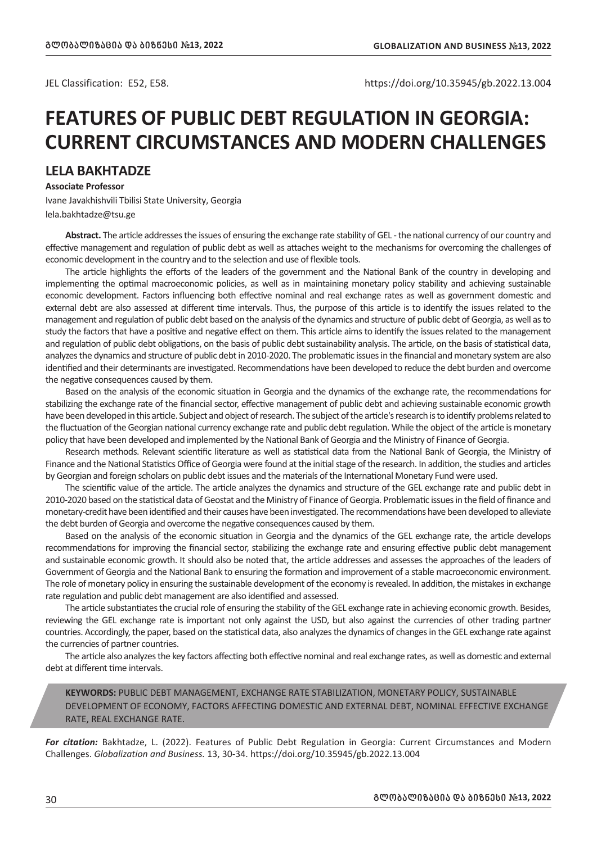JEL Classification: E52, E58. https://doi.org/10.35945/gb.2022.13.004

# **FEATURES OF PUBLIC DEBT REGULATION IN GEORGIA: CURRENT CIRCUMSTANCES AND MODERN CHALLENGES**

# **LELA BAKHTADZE**

#### **Associate Professor**

Ivane Javakhishvili Tbilisi State University, Georgia lela.bakhtadze@tsu.ge

**Abstract.** The article addresses the issues of ensuring the exchange rate stability of GEL - the national currency of our country and effective management and regulation of public debt as well as attaches weight to the mechanisms for overcoming the challenges of economic development in the country and to the selection and use of flexible tools.

The article highlights the efforts of the leaders of the government and the National Bank of the country in developing and implementing the optimal macroeconomic policies, as well as in maintaining monetary policy stability and achieving sustainable economic development. Factors influencing both effective nominal and real exchange rates as well as government domestic and external debt are also assessed at different time intervals. Thus, the purpose of this article is to identify the issues related to the management and regulation of public debt based on the analysis of the dynamics and structure of public debt of Georgia, as well as to study the factors that have a positive and negative effect on them. This article aims to identify the issues related to the management and regulation of public debt obligations, on the basis of public debt sustainability analysis. The article, on the basis of statistical data, analyzes the dynamics and structure of public debt in 2010-2020. The problematic issues in the financial and monetary system are also identified and their determinants are investigated. Recommendations have been developed to reduce the debt burden and overcome the negative consequences caused by them.

Based on the analysis of the economic situation in Georgia and the dynamics of the exchange rate, the recommendations for stabilizing the exchange rate of the financial sector, effective management of public debt and achieving sustainable economic growth have been developed in this article. Subject and object of research. The subject of the article's research is to identify problems related to the fluctuation of the Georgian national currency exchange rate and public debt regulation. While the object of the article is monetary policy that have been developed and implemented by the National Bank of Georgia and the Ministry of Finance of Georgia.

Research methods. Relevant scientific literature as well as statistical data from the National Bank of Georgia, the Ministry of Finance and the National Statistics Office of Georgia were found at the initial stage of the research. In addition, the studies and articles by Georgian and foreign scholars on public debt issues and the materials of the International Monetary Fund were used.

The scientific value of the article. The article analyzes the dynamics and structure of the GEL exchange rate and public debt in 2010-2020 based on the statistical data of Geostat and the Ministry of Finance of Georgia. Problematic issues in the field of finance and monetary-credit have been identified and their causes have been investigated. The recommendations have been developed to alleviate the debt burden of Georgia and overcome the negative consequences caused by them.

Based on the analysis of the economic situation in Georgia and the dynamics of the GEL exchange rate, the article develops recommendations for improving the financial sector, stabilizing the exchange rate and ensuring effective public debt management and sustainable economic growth. It should also be noted that, the article addresses and assesses the approaches of the leaders of Government of Georgia and the National Bank to ensuring the formation and improvement of a stable macroeconomic environment. The role of monetary policy in ensuring the sustainable development of the economy is revealed. In addition, the mistakes in exchange rate regulation and public debt management are also identified and assessed.

The article substantiates the crucial role of ensuring the stability of the GEL exchange rate in achieving economic growth. Besides, reviewing the GEL exchange rate is important not only against the USD, but also against the currencies of other trading partner countries. Accordingly, the paper, based on the statistical data, also analyzes the dynamics of changes in the GEL exchange rate against the currencies of partner countries.

The article also analyzes the key factors affecting both effective nominal and real exchange rates, as well as domestic and external debt at different time intervals.

**KEYWORDS:** PUBLIC DEBT MANAGEMENT, EXCHANGE RATE STABILIZATION, MONETARY POLICY, SUSTAINABLE DEVELOPMENT OF ECONOMY, FACTORS AFFECTING DOMESTIC AND EXTERNAL DEBT, NOMINAL EFFECTIVE EXCHANGE RATE, REAL EXCHANGE RATE.

*For citation:* Bakhtadze, L. (2022). Features of Public Debt Regulation in Georgia: Current Circumstances and Modern Challenges. *Globalization and Business.* 13, 30-34. https://doi.org/10.35945/gb.2022.13.004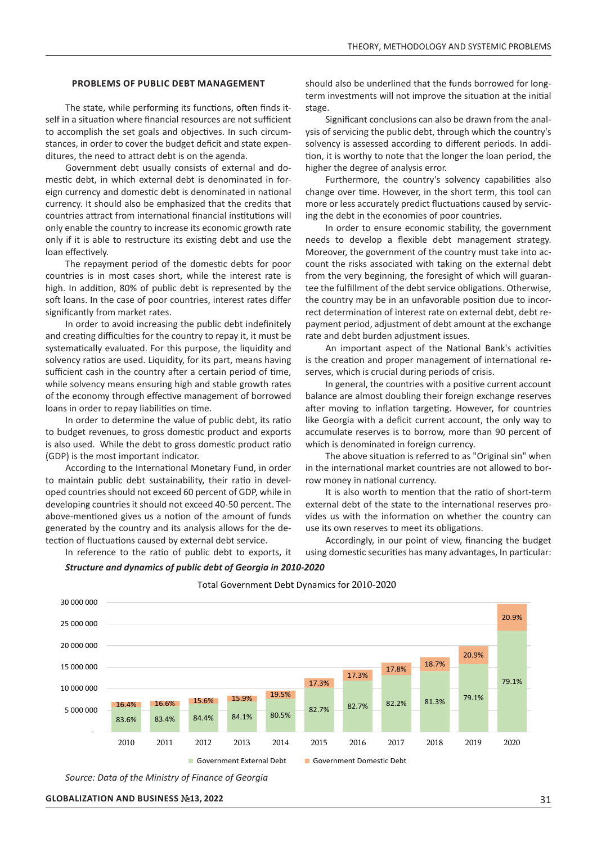### **PROBLEMS OF PUBLIC DEBT MANAGEMENT**

The state, while performing its functions, often finds itself in a situation where financial resources are not sufficient to accomplish the set goals and objectives. In such circumstances, in order to cover the budget deficit and state expenditures, the need to attract debt is on the agenda.

Government debt usually consists of external and domestic debt, in which external debt is denominated in foreign currency and domestic debt is denominated in national currency. It should also be emphasized that the credits that countries attract from international financial institutions will only enable the country to increase its economic growth rate only if it is able to restructure its existing debt and use the loan effectively.

The repayment period of the domestic debts for poor countries is in most cases short, while the interest rate is high. In addition, 80% of public debt is represented by the soft loans. In the case of poor countries, interest rates differ significantly from market rates.

In order to avoid increasing the public debt indefinitely and creating difficulties for the country to repay it, it must be systematically evaluated. For this purpose, the liquidity and solvency ratios are used. Liquidity, for its part, means having sufficient cash in the country after a certain period of time, while solvency means ensuring high and stable growth rates of the economy through effective management of borrowed loans in order to repay liabilities on time.

In order to determine the value of public debt, its ratio to budget revenues, to gross domestic product and exports is also used. While the debt to gross domestic product ratio (GDP) is the most important indicator.

According to the International Monetary Fund, in order to maintain public debt sustainability, their ratio in developed countries should not exceed 60 percent of GDP, while in developing countries it should not exceed 40-50 percent. The above-mentioned gives us a notion of the amount of funds generated by the country and its analysis allows for the detection of fluctuations caused by external debt service.

In reference to the ratio of public debt to exports, it

should also be underlined that the funds borrowed for longterm investments will not improve the situation at the initial stage.

Significant conclusions can also be drawn from the analysis of servicing the public debt, through which the country's solvency is assessed according to different periods. In addition, it is worthy to note that the longer the loan period, the higher the degree of analysis error.

Furthermore, the country's solvency capabilities also change over time. However, in the short term, this tool can more or less accurately predict fluctuations caused by servicing the debt in the economies of poor countries.

In order to ensure economic stability, the government needs to develop a flexible debt management strategy. Moreover, the government of the country must take into account the risks associated with taking on the external debt from the very beginning, the foresight of which will guarantee the fulfillment of the debt service obligations. Otherwise, the country may be in an unfavorable position due to incorrect determination of interest rate on external debt, debt repayment period, adjustment of debt amount at the exchange rate and debt burden adjustment issues.

An important aspect of the National Bank's activities is the creation and proper management of international reserves, which is crucial during periods of crisis.

In general, the countries with a positive current account balance are almost doubling their foreign exchange reserves after moving to inflation targeting. However, for countries like Georgia with a deficit current account, the only way to accumulate reserves is to borrow, more than 90 percent of which is denominated in foreign currency.

The above situation is referred to as "Original sin" when in the international market countries are not allowed to borrow money in national currency.

It is also worth to mention that the ratio of short-term external debt of the state to the international reserves provides us with the information on whether the country can use its own reserves to meet its obligations.

Accordingly, in our point of view, financing the budget using domestic securities has many advantages, In particular:

*Structure and dynamics of public debt of Georgia in 2010-2020*

Total Government Debt Dynamics for 2010-2020



*Source: Data of the Ministry of Finance of Georgia*

**GLOBALIZATION AND BUSINESS** *#***13, 2022** 31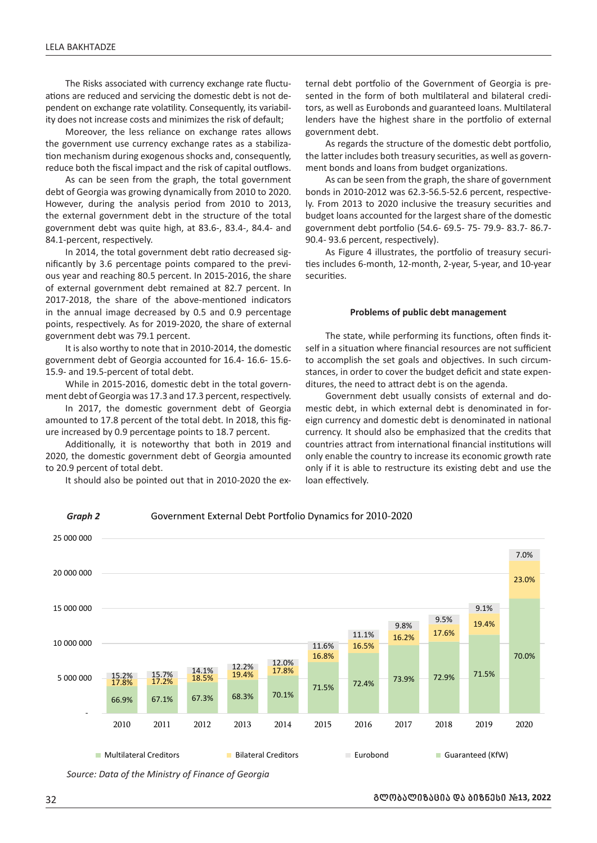The Risks associated with currency exchange rate fluctuations are reduced and servicing the domestic debt is not dependent on exchange rate volatility. Consequently, its variability does not increase costs and minimizes the risk of default;

Moreover, the less reliance on exchange rates allows the government use currency exchange rates as a stabilization mechanism during exogenous shocks and, consequently, reduce both the fiscal impact and the risk of capital outflows.

As can be seen from the graph, the total government debt of Georgia was growing dynamically from 2010 to 2020. However, during the analysis period from 2010 to 2013, the external government debt in the structure of the total budget loans accounted government debt was quite high, at 83.6-, 83.4-, 84.4- and 84.1-percent, respectively.

In 2014, the total government debt ratio decreased significantly by 3.6 percentage points compared to the previous year and reaching 80.5 percent. In 2015-2016, the share of external government debt remained at 82.7 percent. In 2017-2018, the share of the above-mentioned indicators in the annual image decreased by 0.5 and 0.9 percentage points, respectively. As for 2019-2020, the share of external government debt was 79.1 percent.

It is also worthy to note that in 2010-2014, the domestic this also worthy to note that in 2010-2014, the domestic government debt of Georgia accounted for 16.4-16.6-15.6-15.9- and 19.5-percent of total debt.

While in 2015-2016, domestic debt in the total government debt of Georgia was 17.3 and 17.3 percent, respectively. Government debt us

In 2017, the domestic government debt of Georgia amounted to 17.8 percent of the total debt. In 2018, this figure increased by 0.9 percentage points to 18.7 percent.

Additionally, it is noteworthy that both in 2019 and 2020, the domestic government debt of Georgia amounted to 20.9 percent of total debt.

It should also be pointed out that in 2010-2020 the ex-

ternal debt portfolio of the Government of Georgia is presented in the form of both multilateral and bilateral creditors, as well as Eurobonds and guaranteed loans. Multilateral lenders have the highest share in the portfolio of external government debt.

As regards the structure of the domestic debt portfolio, the latter includes both treasury securities, as well as government bonds and loans from budget organizations.

As can be seen from the graph, the share of government bonds in 2010-2012 was 62.3-56.5-52.6 percent, respectively. From 2013 to 2020 inclusive the treasury securities and budget loans accounted for the largest share of the domestic government debt portfolio (54.6- 69.5- 75- 79.9- 83.7- 86.7- 90.4- 93.6 percent, respectively).

As Figure 4 illustrates, the portfolio of treasury securities includes 6-month, 12-month, 2-year, 5-year, and 10-year securities.

# **Problems of public debt management** 17.3%

The state, while performing its functions, often finds it-The state, while performing its functions, often finds itself in a situation where financial resources are not sufficient to accomplish the set goals and objectives. In such circumstances, in order to cover the budget deficit and state expen-15-2016, domestic debt in the total govern- ditures, the need to attract debt is on the agenda.

> Government debt usually consists of external and domestic debt, in which external debt is denominated in foreign currency and domestic debt is denominated in national currency. It should also be emphasized that the credits that countries attract from international financial institutions will only enable the country to increase its economic growth rate only if it is able to restructure its existing debt and use the loan effectively.



Government External Debt Portfolio Dynamics for 2010-2020

*Source: Data of the Ministry of Finance of Georgia*

*Graph 2*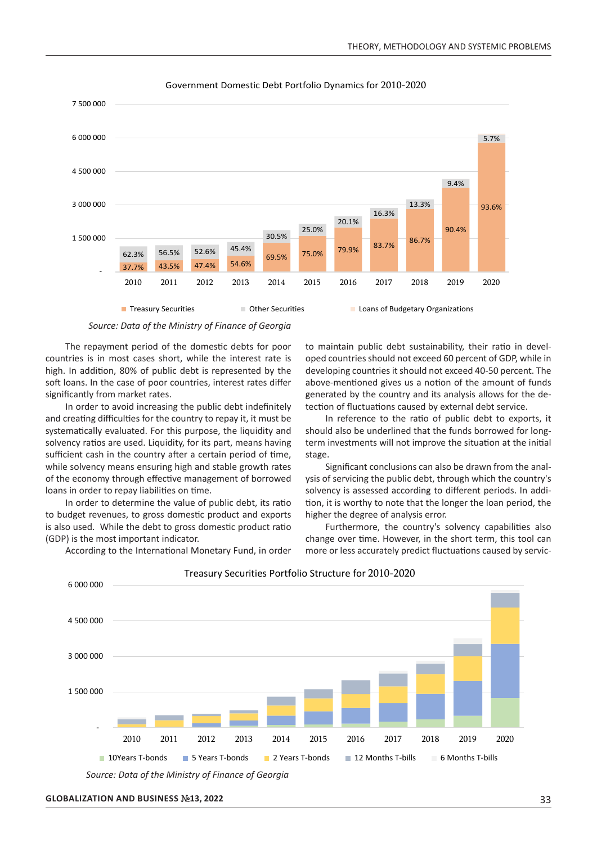

#### Government Domestic Debt Portfolio Dynamics for 2010-2020



The repayment period of the domestic debts for poor countries is in most cases short, while the interest rate is high. In addition, 80% of public debt is represented by the soft loans. In the case of poor countries, interest rates differ significantly from market rates.

 $\frac{1}{2}$  in order to avoid increasing the public debt indefinitely tection of fluctuations can be constructed by the security of  $\frac{1}{2}$ . and creating difficulties for the country to repay it, it must be and creating dimedities for the country to repay it, it must be systematically evaluated. For this purpose, the liquidity and solvency ratios are used. Liquidity, for its part, means having sufficient cash in the country after a certain period of time, while solvency means ensuring high and stable growth rates of the economy through effective management of borrowed ysis of servicing the public debt, through which of the economy through effective management of borrowed ysis of servicing the public debt, through which loans in order to repay liabilities on time.

In order to determine the value of public debt, its ratio to budget revenues, to gross domestic product and exports is also used. While the debt to gross domestic product ratio (GDP) is the most important indicator.

According to the International Monetary Fund, in order

to maintain public debt sustainability, their ratio in developed countries should not exceed 60 percent of GDP, while in developing countries it should not exceed 40-50 percent. The above-mentioned gives us a notion of the amount of funds generated by the country and its analysis allows for the degenerated by the country and its analysis allows for the<br>
intely bection of fluctuations caused by external debt service.<br>
In reference to the ratio of public debt to expo o<br>Intion

In reference to the ratio of public debt to exports, it should also be underlined that the funds borrowed for longused. Liquidity, for its part, means having term investments will not improve the situation at the initial stage.

> Significant conclusions can also be drawn from the analysis of servicing the public debt, through which the country's solvency is assessed according to different periods. In addition, it is worthy to note that the longer the loan period, the higher the degree of analysis error.

Furthermore, the country's solvency capabilities also change over time. However, in the short term, this tool can  $n$ e International Monetary Fund, in order  $\;\;\;\;$  more or less accurately predict fluctuations caused by servic-